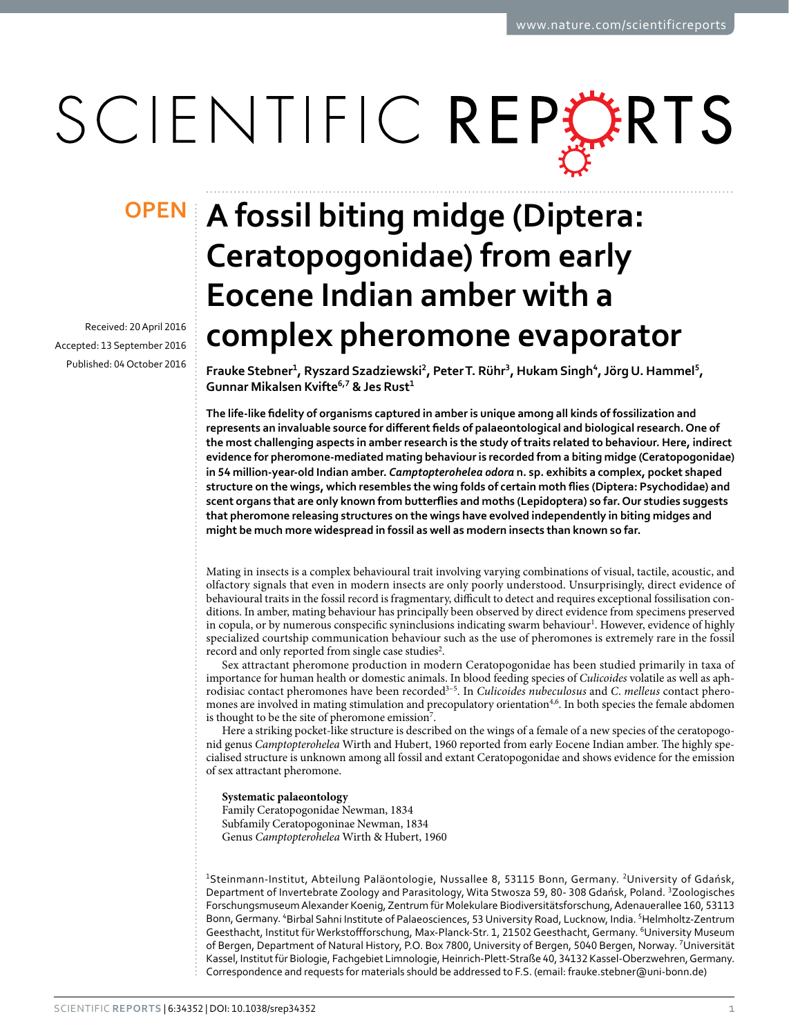# SCIENTIFIC REPERTS

Received: 20 April 2016 accepted: 13 September 2016 Published: 04 October 2016

## **A fossil biting midge (Diptera: OPENCeratopogonidae) from early Eocene Indian amber with a complex pheromone evaporator**

**Frauke Stebner<sup>1</sup>, Ryszard Szadziewski<sup>2</sup>, PeterT. Rühr<sup>3</sup>, Hukam Singh<sup>4</sup>, Jörg U. Hammel<sup>5</sup>, Gunnar Mikalsen Kvifte<sup>6</sup>,<sup>7</sup> & Jes Rust<sup>1</sup>**

**The life-like fidelity of organisms captured in amber is unique among all kinds of fossilization and represents an invaluable source for different fields of palaeontological and biological research. One of the most challenging aspects in amber research is the study of traits related to behaviour. Here, indirect evidence for pheromone-mediated mating behaviour is recorded from a biting midge (Ceratopogonidae) in 54 million-year-old Indian amber.** *Camptopterohelea odora* **n. sp. exhibits a complex, pocket shaped structure on the wings, which resembles the wing folds of certain moth flies (Diptera: Psychodidae) and scent organs that are only known from butterflies and moths (Lepidoptera) so far. Our studies suggests that pheromone releasing structures on the wings have evolved independently in biting midges and might be much more widespread in fossil as well as modern insects than known so far.**

Mating in insects is a complex behavioural trait involving varying combinations of visual, tactile, acoustic, and olfactory signals that even in modern insects are only poorly understood. Unsurprisingly, direct evidence of behavioural traits in the fossil record is fragmentary, difficult to detect and requires exceptional fossilisation conditions. In amber, mating behaviour has principally been observed by direct evidence from specimens preserved in copula, or by numerous conspecific syninclusions indicating swarm behaviour<sup>1</sup>. However, evidence of highly specialized courtship communication behaviour such as the use of pheromones is extremely rare in the fossil record and only reported from single case studies<sup>[2](#page-4-1)</sup>.

Sex attractant pheromone production in modern Ceratopogonidae has been studied primarily in taxa of importance for human health or domestic animals. In blood feeding species of *Culicoides* volatile as well as aphrodisiac contact pheromones have been recorde[d3–5](#page-4-2). In *Culicoides nubeculosus* and *C*. *melleus* contact phero-mones are involved in mating stimulation and precopulatory orientation<sup>[4,](#page-4-3)6</sup>. In both species the female abdomen is thought to be the site of pheromone emission<sup>7</sup>.

Here a striking pocket-like structure is described on the wings of a female of a new species of the ceratopogonid genus *Camptopterohelea* Wirth and Hubert, 1960 reported from early Eocene Indian amber. The highly specialised structure is unknown among all fossil and extant Ceratopogonidae and shows evidence for the emission of sex attractant pheromone.

**Systematic palaeontology**

Family Ceratopogonidae Newman, 1834 Subfamily Ceratopogoninae Newman, 1834 Genus *Camptopterohelea* Wirth & Hubert, 1960

<sup>1</sup>Steinmann-Institut, Abteilung Paläontologie, Nussallee 8, 53115 Bonn, Germany. <sup>2</sup>University of Gdańsk, Department of Invertebrate Zoology and Parasitology, Wita Stwosza 59, 80- 308 Gdańsk, Poland. <sup>3</sup>Zoologisches Forschungsmuseum Alexander Koenig, Zentrum für Molekulare Biodiversitätsforschung, Adenauerallee 160, 53113 Bonn, Germany. <sup>4</sup>Birbal Sahni Institute of Palaeosciences, 53 University Road, Lucknow, India. <sup>5</sup>Helmholtz-Zentrum Geesthacht, Institut für Werkstoffforschung, Max-Planck-Str. 1, 21502 Geesthacht, Germany. <sup>6</sup>University Museum of Bergen, Department of Natural History, P.O. Box 7800, University of Bergen, 5040 Bergen, Norway. <sup>7</sup>Universität Kassel, Institut für Biologie, Fachgebiet Limnologie, Heinrich-Plett-Straße 40, 34132 Kassel-Oberzwehren, Germany. Correspondence and requests for materials should be addressed to F.S. (email: [frauke.stebner@uni-bonn.de](mailto:frauke.stebner@uni-bonn.de))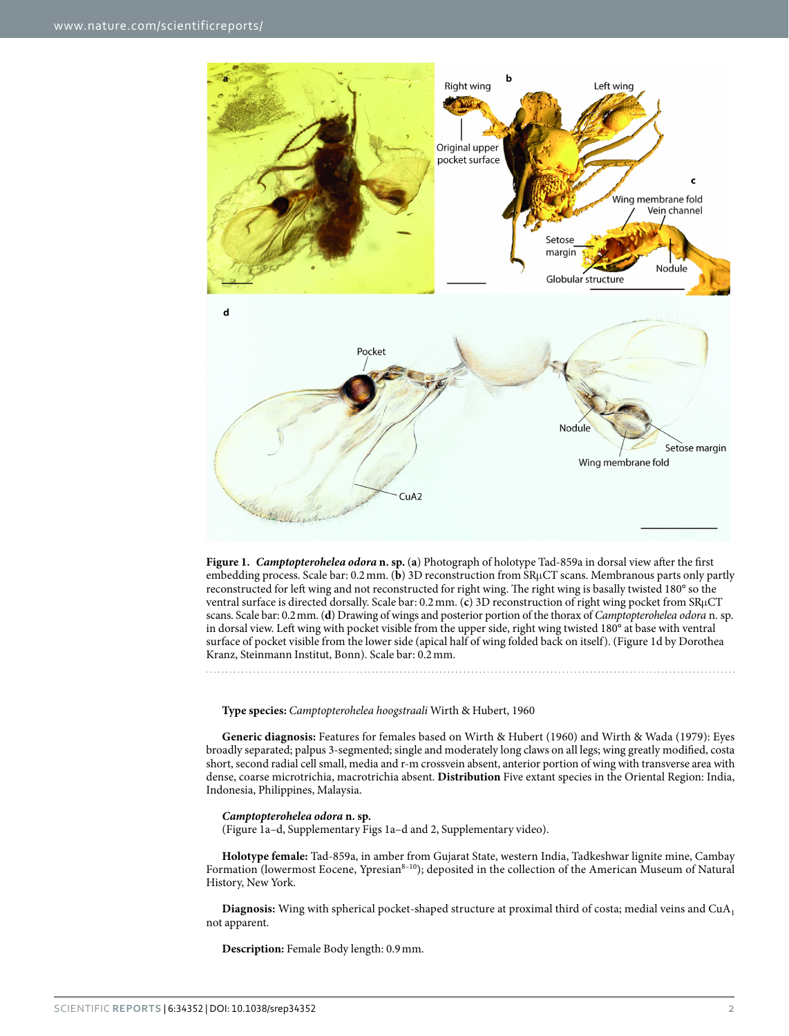

<span id="page-1-0"></span>**Figure 1.** *Camptopterohelea odora* **n. sp.** (**a**) Photograph of holotype Tad-859a in dorsal view after the first embedding process. Scale bar: 0.2mm. (**b**) 3D reconstruction from SRμCT scans. Membranous parts only partly reconstructed for left wing and not reconstructed for right wing. The right wing is basally twisted 180° so the ventral surface is directed dorsally. Scale bar: 0.2mm. (**c**) 3D reconstruction of right wing pocket from SRμCT scans. Scale bar: 0.2mm. (**d**) Drawing of wings and posterior portion of the thorax of *Camptopterohelea odora* n. sp. in dorsal view. Left wing with pocket visible from the upper side, right wing twisted 180° at base with ventral surface of pocket visible from the lower side (apical half of wing folded back on itself). (Figure 1d by Dorothea Kranz, Steinmann Institut, Bonn). Scale bar: 0.2mm.

**Type species:** *Camptopterohelea hoogstraali* Wirth & Hubert, 1960

**Generic diagnosis:** Features for females based on Wirth & Hubert (1960) and Wirth & Wada (1979): Eyes broadly separated; palpus 3-segmented; single and moderately long claws on all legs; wing greatly modified, costa short, second radial cell small, media and r-m crossvein absent, anterior portion of wing with transverse area with dense, coarse microtrichia, macrotrichia absent. **Distribution** Five extant species in the Oriental Region: India, Indonesia, Philippines, Malaysia.

#### *Camptopterohelea odora* **n. sp.**

([Figure 1a–d](#page-1-0), Supplementary Figs 1a–d and 2, Supplementary video).

**Holotype female:** Tad-859a, in amber from Gujarat State, western India, Tadkeshwar lignite mine, Cambay Formation (lowermost Eocene, Ypresian<sup>8–10</sup>); deposited in the collection of the American Museum of Natural History, New York.

Diagnosis: Wing with spherical pocket-shaped structure at proximal third of costa; medial veins and CuA<sub>1</sub> not apparent.

**Description:** Female Body length: 0.9mm.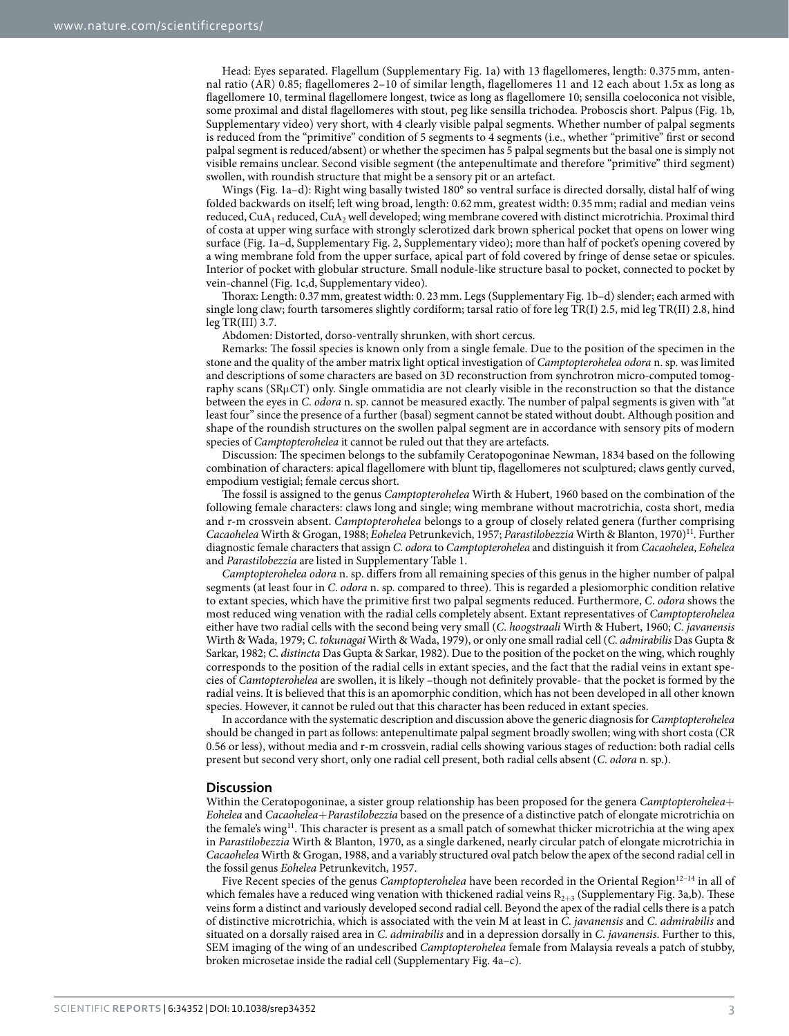Head: Eyes separated. Flagellum (Supplementary Fig. 1a) with 13 flagellomeres, length: 0.375 mm, antennal ratio (AR) 0.85; flagellomeres 2–10 of similar length, flagellomeres 11 and 12 each about 1.5x as long as flagellomere 10, terminal flagellomere longest, twice as long as flagellomere 10; sensilla coeloconica not visible, some proximal and distal flagellomeres with stout, peg like sensilla trichodea. Proboscis short. Palpus ([Fig. 1b,](#page-1-0) Supplementary video) very short, with 4 clearly visible palpal segments. Whether number of palpal segments is reduced from the "primitive" condition of 5 segments to 4 segments (i.e., whether "primitive" first or second palpal segment is reduced/absent) or whether the specimen has 5 palpal segments but the basal one is simply not visible remains unclear. Second visible segment (the antepenultimate and therefore "primitive" third segment) swollen, with roundish structure that might be a sensory pit or an artefact.

Wings [\(Fig. 1a–d\)](#page-1-0): Right wing basally twisted 180° so ventral surface is directed dorsally, distal half of wing folded backwards on itself; left wing broad, length: 0.62mm, greatest width: 0.35mm; radial and median veins reduced, CuA<sub>1</sub> reduced, CuA<sub>2</sub> well developed; wing membrane covered with distinct microtrichia. Proximal third of costa at upper wing surface with strongly sclerotized dark brown spherical pocket that opens on lower wing surface ([Fig. 1a–d](#page-1-0), Supplementary Fig. 2, Supplementary video); more than half of pocket's opening covered by a wing membrane fold from the upper surface, apical part of fold covered by fringe of dense setae or spicules. Interior of pocket with globular structure. Small nodule-like structure basal to pocket, connected to pocket by vein-channel [\(Fig. 1c,d,](#page-1-0) Supplementary video).

Thorax: Length: 0.37mm, greatest width: 0. 23mm. Legs (Supplementary Fig. 1b–d) slender; each armed with single long claw; fourth tarsomeres slightly cordiform; tarsal ratio of fore leg TR(I) 2.5, mid leg TR(II) 2.8, hind leg TR(III) 3.7.

Abdomen: Distorted, dorso-ventrally shrunken, with short cercus.

Remarks: The fossil species is known only from a single female. Due to the position of the specimen in the stone and the quality of the amber matrix light optical investigation of *Camptopterohelea odora* n. sp. was limited and descriptions of some characters are based on 3D reconstruction from synchrotron micro-computed tomography scans (SRμCT) only. Single ommatidia are not clearly visible in the reconstruction so that the distance between the eyes in *C*. *odora* n. sp. cannot be measured exactly. The number of palpal segments is given with "at least four" since the presence of a further (basal) segment cannot be stated without doubt. Although position and shape of the roundish structures on the swollen palpal segment are in accordance with sensory pits of modern species of *Camptopterohelea* it cannot be ruled out that they are artefacts.

Discussion: The specimen belongs to the subfamily Ceratopogoninae Newman, 1834 based on the following combination of characters: apical flagellomere with blunt tip, flagellomeres not sculptured; claws gently curved, empodium vestigial; female cercus short.

The fossil is assigned to the genus *Camptopterohelea* Wirth & Hubert, 1960 based on the combination of the following female characters: claws long and single; wing membrane without macrotrichia, costa short, media and r-m crossvein absent. *Camptopterohelea* belongs to a group of closely related genera (further comprising *Cacaohelea* Wirth & Grogan, 1988; *Eohelea* Petrunkevich, 1957; *Parastilobezzia* Wirth & Blanton, 1970[\)11.](#page-4-7) Further diagnostic female characters that assign *C*. *odora* to *Camptopterohelea* and distinguish it from *Cacaohelea*, *Eohelea* and *Parastilobezzia* are listed in Supplementary Table 1.

*Camptopterohelea odora* n. sp. differs from all remaining species of this genus in the higher number of palpal segments (at least four in *C*. *odora* n. sp. compared to three). This is regarded a plesiomorphic condition relative to extant species, which have the primitive first two palpal segments reduced. Furthermore, *C*. *odora* shows the most reduced wing venation with the radial cells completely absent. Extant representatives of *Camptopterohelea* either have two radial cells with the second being very small (*C*. *hoogstraali* Wirth & Hubert, 1960; *C*. *javanensis* Wirth & Wada, 1979; *C*. *tokunagai* Wirth & Wada, 1979), or only one small radial cell (*C*. *admirabilis* Das Gupta & Sarkar, 1982; *C*. *distincta* Das Gupta & Sarkar, 1982). Due to the position of the pocket on the wing, which roughly corresponds to the position of the radial cells in extant species, and the fact that the radial veins in extant species of *Camtopterohelea* are swollen, it is likely –though not definitely provable- that the pocket is formed by the radial veins. It is believed that this is an apomorphic condition, which has not been developed in all other known species. However, it cannot be ruled out that this character has been reduced in extant species.

In accordance with the systematic description and discussion above the generic diagnosis for *Camptopterohelea* should be changed in part as follows: antepenultimate palpal segment broadly swollen; wing with short costa (CR 0.56 or less), without media and r-m crossvein, radial cells showing various stages of reduction: both radial cells present but second very short, only one radial cell present, both radial cells absent (*C*. *odora* n. sp.).

#### **Discussion**

Within the Ceratopogoninae, a sister group relationship has been proposed for the genera *Camptopterohelea*+ *Eohelea* and *Cacaohelea*+*Parastilobezzia* based on the presence of a distinctive patch of elongate microtrichia on the female's wing<sup>[11](#page-4-7)</sup>. This character is present as a small patch of somewhat thicker microtrichia at the wing apex in *Parastilobezzia* Wirth & Blanton, 1970, as a single darkened, nearly circular patch of elongate microtrichia in *Cacaohelea* Wirth & Grogan, 1988, and a variably structured oval patch below the apex of the second radial cell in the fossil genus *Eohelea* Petrunkevitch, 1957.

Five Recent species of the genus *Camptopterohelea* have been recorded in the Oriental Region<sup>12-14</sup> in all of which females have a reduced wing venation with thickened radial veins  $R_{2+3}$  (Supplementary Fig. 3a,b). These veins form a distinct and variously developed second radial cell. Beyond the apex of the radial cells there is a patch of distinctive microtrichia, which is associated with the vein M at least in *C*. *javanensis* and *C*. *admirabilis* and situated on a dorsally raised area in *C*. *admirabilis* and in a depression dorsally in *C*. *javanensis*. Further to this, SEM imaging of the wing of an undescribed *Camptopterohelea* female from Malaysia reveals a patch of stubby, broken microsetae inside the radial cell (Supplementary Fig. 4a–c).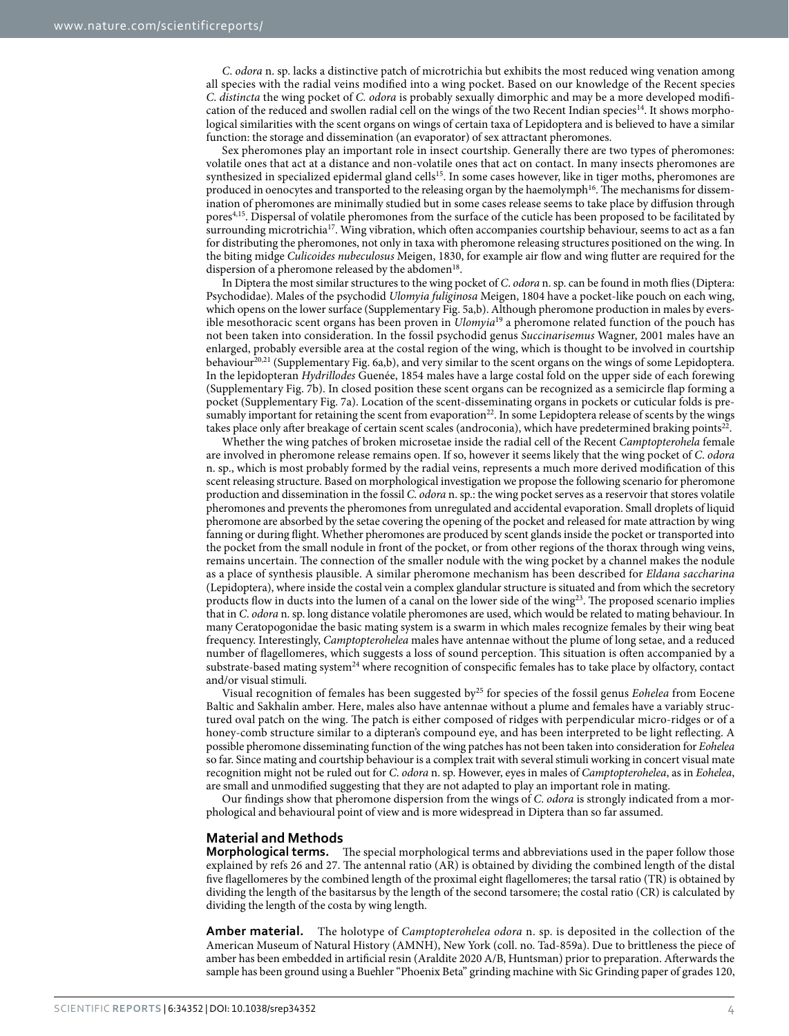*C*. *odora* n. sp. lacks a distinctive patch of microtrichia but exhibits the most reduced wing venation among all species with the radial veins modified into a wing pocket. Based on our knowledge of the Recent species *C*. *distincta* the wing pocket of *C. odora* is probably sexually dimorphic and may be a more developed modifi-cation of the reduced and swollen radial cell on the wings of the two Recent Indian species<sup>[14](#page-4-9)</sup>. It shows morphological similarities with the scent organs on wings of certain taxa of Lepidoptera and is believed to have a similar function: the storage and dissemination (an evaporator) of sex attractant pheromones.

Sex pheromones play an important role in insect courtship. Generally there are two types of pheromones: volatile ones that act at a distance and non-volatile ones that act on contact. In many insects pheromones are synthesized in specialized epidermal gland cells<sup>15</sup>. In some cases however, like in tiger moths, pheromones are produced in oenocytes and transported to the releasing organ by the haemolymph<sup>16</sup>. The mechanisms for dissemination of pheromones are minimally studied but in some cases release seems to take place by diffusion through pore[s4](#page-4-3),[15](#page-4-10). Dispersal of volatile pheromones from the surface of the cuticle has been proposed to be facilitated by surrounding microtrichia<sup>17</sup>. Wing vibration, which often accompanies courtship behaviour, seems to act as a fan for distributing the pheromones, not only in taxa with pheromone releasing structures positioned on the wing. In the biting midge *Culicoides nubeculosus* Meigen, 1830, for example air flow and wing flutter are required for the dispersion of a pheromone released by the abdomen<sup>18</sup>.

In Diptera the most similar structures to the wing pocket of *C*. *odora* n. sp. can be found in moth flies (Diptera: Psychodidae). Males of the psychodid *Ulomyia fuliginosa* Meigen, 1804 have a pocket-like pouch on each wing, which opens on the lower surface (Supplementary Fig. 5a,b). Although pheromone production in males by eversible mesothoracic scent organs has been proven in *Ulomyia*[19](#page-4-14) a pheromone related function of the pouch has not been taken into consideration. In the fossil psychodid genus *Succinarisemus* Wagner, 2001 males have an enlarged, probably eversible area at the costal region of the wing, which is thought to be involved in courtship behaviour<sup>[20](#page-4-15),[21](#page-5-0)</sup> (Supplementary Fig. 6a,b), and very similar to the scent organs on the wings of some Lepidoptera. In the lepidopteran *Hydrillodes* Guenée, 1854 males have a large costal fold on the upper side of each forewing (Supplementary Fig. 7b). In closed position these scent organs can be recognized as a semicircle flap forming a pocket (Supplementary Fig. 7a). Location of the scent-disseminating organs in pockets or cuticular folds is presumably important for retaining the scent from evaporation<sup>22</sup>. In some Lepidoptera release of scents by the wings takes place only after breakage of certain scent scales (androconia), which have predetermined braking points<sup>22</sup>.

Whether the wing patches of broken microsetae inside the radial cell of the Recent *Camptopterohela* female are involved in pheromone release remains open. If so, however it seems likely that the wing pocket of *C*. *odora* n. sp., which is most probably formed by the radial veins, represents a much more derived modification of this scent releasing structure. Based on morphological investigation we propose the following scenario for pheromone production and dissemination in the fossil *C*. *odora* n. sp.: the wing pocket serves as a reservoir that stores volatile pheromones and prevents the pheromones from unregulated and accidental evaporation. Small droplets of liquid pheromone are absorbed by the setae covering the opening of the pocket and released for mate attraction by wing fanning or during flight. Whether pheromones are produced by scent glands inside the pocket or transported into the pocket from the small nodule in front of the pocket, or from other regions of the thorax through wing veins, remains uncertain. The connection of the smaller nodule with the wing pocket by a channel makes the nodule as a place of synthesis plausible. A similar pheromone mechanism has been described for *Eldana saccharina* (Lepidoptera), where inside the costal vein a complex glandular structure is situated and from which the secretory products flow in ducts into the lumen of a canal on the lower side of the wing<sup>23</sup>. The proposed scenario implies that in *C*. *odora* n. sp. long distance volatile pheromones are used, which would be related to mating behaviour. In many Ceratopogonidae the basic mating system is a swarm in which males recognize females by their wing beat frequency. Interestingly, *Camptopterohelea* males have antennae without the plume of long setae, and a reduced number of flagellomeres, which suggests a loss of sound perception. This situation is often accompanied by a substrate-based mating system<sup>[24](#page-5-3)</sup> where recognition of conspecific females has to take place by olfactory, contact and/or visual stimuli.

Visual recognition of females has been suggested b[y25](#page-5-4) for species of the fossil genus *Eohelea* from Eocene Baltic and Sakhalin amber. Here, males also have antennae without a plume and females have a variably structured oval patch on the wing. The patch is either composed of ridges with perpendicular micro-ridges or of a honey-comb structure similar to a dipteran's compound eye, and has been interpreted to be light reflecting. A possible pheromone disseminating function of the wing patches has not been taken into consideration for *Eohelea* so far. Since mating and courtship behaviour is a complex trait with several stimuli working in concert visual mate recognition might not be ruled out for *C*. *odora* n. sp. However, eyes in males of *Camptopterohelea*, as in *Eohelea*, are small and unmodified suggesting that they are not adapted to play an important role in mating.

Our findings show that pheromone dispersion from the wings of *C*. *odora* is strongly indicated from a morphological and behavioural point of view and is more widespread in Diptera than so far assumed.

#### **Material and Methods**

**Morphological terms.** The special morphological terms and abbreviations used in the paper follow those explained by refs [26](#page-5-5) and [27.](#page-5-6) The antennal ratio (AR) is obtained by dividing the combined length of the distal five flagellomeres by the combined length of the proximal eight flagellomeres; the tarsal ratio (TR) is obtained by dividing the length of the basitarsus by the length of the second tarsomere; the costal ratio (CR) is calculated by dividing the length of the costa by wing length.

**Amber material.** The holotype of *Camptopterohelea odora* n. sp. is deposited in the collection of the American Museum of Natural History (AMNH), New York (coll. no. Tad-859a). Due to brittleness the piece of amber has been embedded in artificial resin (Araldite 2020 A/B, Huntsman) prior to preparation. Afterwards the sample has been ground using a Buehler "Phoenix Beta" grinding machine with Sic Grinding paper of grades 120,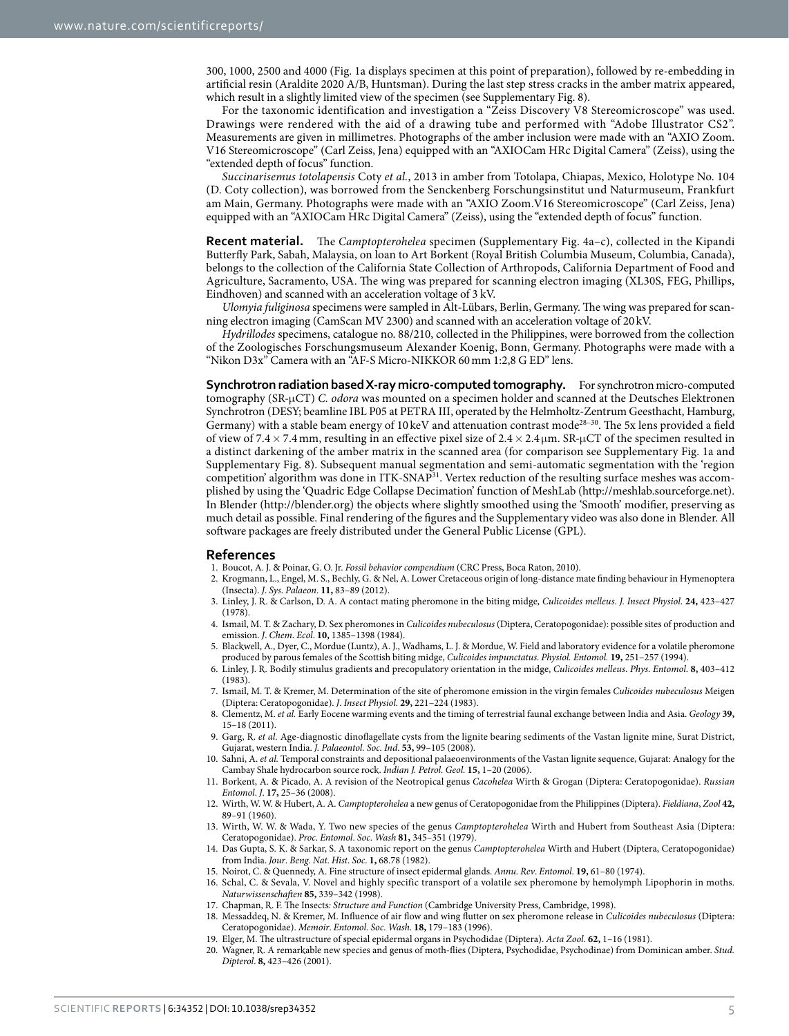300, 1000, 2500 and 4000 [\(Fig. 1a](#page-1-0) displays specimen at this point of preparation), followed by re-embedding in artificial resin (Araldite 2020 A/B, Huntsman). During the last step stress cracks in the amber matrix appeared, which result in a slightly limited view of the specimen (see Supplementary Fig. 8).

For the taxonomic identification and investigation a "Zeiss Discovery V8 Stereomicroscope" was used. Drawings were rendered with the aid of a drawing tube and performed with "Adobe Illustrator CS2". Measurements are given in millimetres. Photographs of the amber inclusion were made with an "AXIO Zoom. V16 Stereomicroscope" (Carl Zeiss, Jena) equipped with an "AXIOCam HRc Digital Camera" (Zeiss), using the "extended depth of focus" function.

*Succinarisemus totolapensis* Coty *et al.*, 2013 in amber from Totolapa, Chiapas, Mexico, Holotype No. 104 (D. Coty collection), was borrowed from the Senckenberg Forschungsinstitut und Naturmuseum, Frankfurt am Main, Germany. Photographs were made with an "AXIO Zoom.V16 Stereomicroscope" (Carl Zeiss, Jena) equipped with an "AXIOCam HRc Digital Camera" (Zeiss), using the "extended depth of focus" function.

**Recent material.** The *Camptopterohelea* specimen (Supplementary Fig. 4a–c), collected in the Kipandi Butterfly Park, Sabah, Malaysia, on loan to Art Borkent (Royal British Columbia Museum, Columbia, Canada), belongs to the collection of the California State Collection of Arthropods, California Department of Food and Agriculture, Sacramento, USA. The wing was prepared for scanning electron imaging (XL30S, FEG, Phillips, Eindhoven) and scanned with an acceleration voltage of 3 kV.

*Ulomyia fuliginosa* specimens were sampled in Alt-Lübars, Berlin, Germany. The wing was prepared for scanning electron imaging (CamScan MV 2300) and scanned with an acceleration voltage of 20 kV.

*Hydrillodes* specimens, catalogue no. 88/210, collected in the Philippines, were borrowed from the collection of the Zoologisches Forschungsmuseum Alexander Koenig, Bonn, Germany. Photographs were made with a "Nikon D3x" Camera with an "AF-S Micro-NIKKOR 60mm 1:2,8 G ED" lens.

**Synchrotron radiation based X-ray micro-computed tomography.** For synchrotron micro-computed tomography (SR-μCT) *C. odora* was mounted on a specimen holder and scanned at the Deutsches Elektronen Synchrotron (DESY; beamline IBL P05 at PETRA III, operated by the Helmholtz-Zentrum Geesthacht, Hamburg, Germany) with a stable beam energy of 10 keV and attenuation contrast mode<sup>28-30</sup>. The 5x lens provided a field of view of 7.4× 7.4 mm, resulting in an effective pixel size of 2.4× 2.4 μm. SR-μCT of the specimen resulted in a distinct darkening of the amber matrix in the scanned area (for comparison see Supplementary Fig. 1a and Supplementary Fig. 8). Subsequent manual segmentation and semi-automatic segmentation with the 'region competition' algorithm was done in ITK-SNA[P31.](#page-5-8) Vertex reduction of the resulting surface meshes was accomplished by using the 'Quadric Edge Collapse Decimation' function of MeshLab (<http://meshlab.sourceforge.net>). In Blender [\(http://blender.org](http://blender.org)) the objects where slightly smoothed using the 'Smooth' modifier, preserving as much detail as possible. Final rendering of the figures and the Supplementary video was also done in Blender. All software packages are freely distributed under the General Public License (GPL).

#### **References**

- <span id="page-4-0"></span>1. Boucot, A. J. & Poinar, G. O. Jr. *Fossil behavior compendium* (CRC Press, Boca Raton, 2010).
- <span id="page-4-1"></span>2. Krogmann, L., Engel, M. S., Bechly, G. & Nel, A. Lower Cretaceous origin of long-distance mate finding behaviour in Hymenoptera (Insecta). *J*. *Sys*. *Palaeon*. **11,** 83–89 (2012).
- <span id="page-4-2"></span>3. Linley, J. R. & Carlson, D. A. A contact mating pheromone in the biting midge, *Culicoides melleus*. *J. Insect Physiol.* **24,** 423–427 (1978).
- <span id="page-4-3"></span>4. Ismail, M. T. & Zachary, D. Sex pheromones in *Culicoides nubeculosus* (Diptera, Ceratopogonidae): possible sites of production and emission. *J*. *Chem*. *Ecol*. **10,** 1385–1398 (1984).
- 5. Blackwell, A., Dyer, C., Mordue (Luntz), A. J., Wadhams, L. J. & Mordue, W. Field and laboratory evidence for a volatile pheromone produced by parous females of the Scottish biting midge, *Culicoides impunctatus*. *Physiol. Entomol.* **19,** 251–257 (1994).
- <span id="page-4-4"></span>6. Linley, J. R. Bodily stimulus gradients and precopulatory orientation in the midge, *Culicoides melleus*. *Phys*. *Entomol*. **8,** 403–412 (1983).
- <span id="page-4-5"></span>7. Ismail, M. T. & Kremer, M. Determination of the site of pheromone emission in the virgin females *Culicoides nubeculosus* Meigen (Diptera: Ceratopogonidae). *J*. *Insect Physiol*. **29,** 221–224 (1983).
- <span id="page-4-6"></span>8. Clementz, M. *et al.* Early Eocene warming events and the timing of terrestrial faunal exchange between India and Asia. *Geology* **39,** 15–18 (2011).
- 9. Garg, R. *et al.* Age-diagnostic dinoflagellate cysts from the lignite bearing sediments of the Vastan lignite mine, Surat District, Gujarat, western India. *J. Palaeontol. Soc. Ind*. **53,** 99–105 (2008).
- 10. Sahni, A. *et al.* Temporal constraints and depositional palaeoenvironments of the Vastan lignite sequence, Gujarat: Analogy for the Cambay Shale hydrocarbon source rock. *Indian J. Petrol. Geol.* **15,** 1–20 (2006).
- <span id="page-4-7"></span>11. Borkent, A. & Picado, A. A revision of the Neotropical genus *Cacohelea* Wirth & Grogan (Diptera: Ceratopogonidae). *Russian Entomol*. *J*. **17,** 25–36 (2008).
- <span id="page-4-8"></span>12. Wirth, W. W. & Hubert, A. A. *Camptopterohelea* a new genus of Ceratopogonidae from the Philippines (Diptera). *Fieldiana*, *Zool* **42,** 89–91 (1960).
- 13. Wirth, W. W. & Wada, Y. Two new species of the genus *Camptopterohelea* Wirth and Hubert from Southeast Asia (Diptera: Ceratopogonidae). *Proc*. *Entomol*. *Soc*. *Wash* **81,** 345–351 (1979).
- <span id="page-4-9"></span>14. Das Gupta, S. K. & Sarkar, S. A taxonomic report on the genus *Camptopterohelea* Wirth and Hubert (Diptera, Ceratopogonidae) from India. *Jour*. *Beng*. *Nat*. *Hist*. *Soc*. **1,** 68.78 (1982).
- <span id="page-4-10"></span>15. Noirot, C. & Quennedy, A. Fine structure of insect epidermal glands. *Annu*. *Rev*. *Entomol*. **19,** 61–80 (1974).
- <span id="page-4-11"></span>16. Schal, C. & Sevala, V. Novel and highly specific transport of a volatile sex pheromone by hemolymph Lipophorin in moths. *Naturwissenschaften* **85,** 339–342 (1998).
- <span id="page-4-12"></span>17. Chapman, R. F. The Insects*: Structure and Function* (Cambridge University Press, Cambridge, 1998). 18. Messaddeq, N. & Kremer, M. Influence of air flow and wing flutter on sex pheromone release in *Culicoides nubeculosus* (Diptera:
- <span id="page-4-15"></span><span id="page-4-14"></span><span id="page-4-13"></span>Ceratopogonidae). *Memoir*. *Entomol*. *Soc*. *Wash*. **18,** 179–183 (1996).
- 19. Elger, M. The ultrastructure of special epidermal organs in Psychodidae (Diptera). *Acta Zool.* **62,** 1–16 (1981).
- 20. Wagner, R. A remarkable new species and genus of moth-flies (Diptera, Psychodidae, Psychodinae) from Dominican amber. *Stud. Dipterol*. **8,** 423–426 (2001).